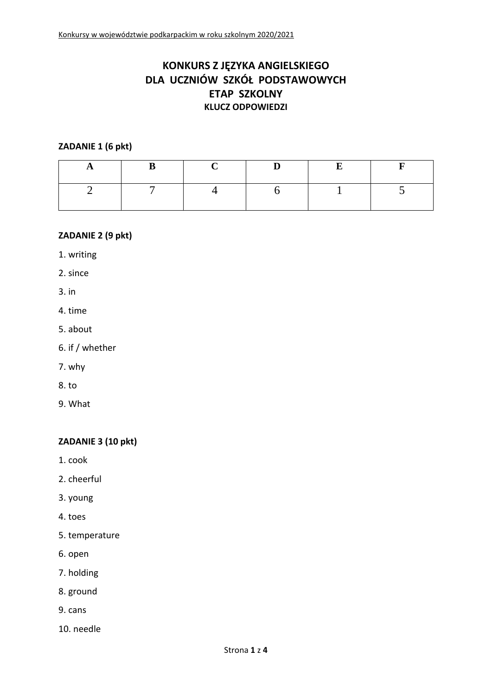# **KONKURS Z JĘZYKA ANGIELSKIEGO DLA UCZNIÓW SZKÓŁ PODSTAWOWYCH ETAP SZKOLNY KLUCZ ODPOWIEDZI**

#### **ZADANIE 1 (6 pkt)**

### **ZADANIE 2 (9 pkt)**

1. writing

2. since

- 3. in
- 4. time
- 5. about
- 6. if / whether
- 7. why
- 8. to
- 9. What

### **ZADANIE 3 (10 pkt)**

- 1. cook
- 2. cheerful
- 3. young
- 4. toes
- 5. temperature
- 6. open
- 7. holding
- 8. ground
- 9. cans
- 10. needle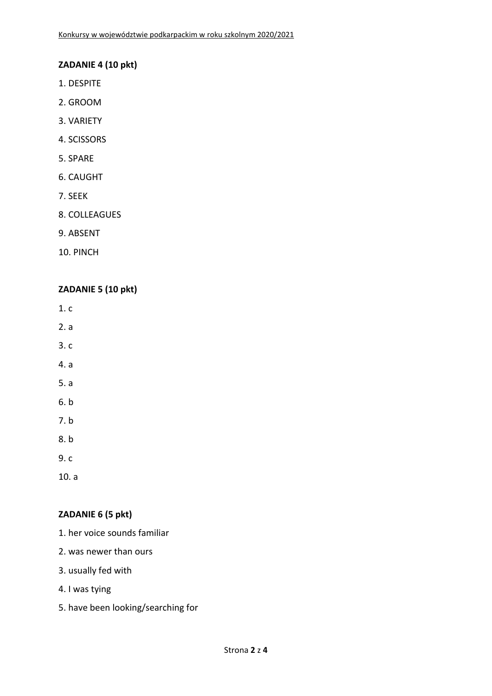#### **ZADANIE 4 (10 pkt)**

- 1. DESPITE
- 2. GROOM
- 3. VARIETY
- 4. SCISSORS
- 5. SPARE
- 6. CAUGHT
- 7. SEEK
- 8. COLLEAGUES
- 9. ABSENT
- 10. PINCH

### **ZADANIE 5 (10 pkt)**

- 1. c
- 2. a
- 3. c
- 4. a
- 5. a
- 6. b
- 7. b
- 8. b
- 9. c
- 10. a

## **ZADANIE 6 (5 pkt)**

- 1. her voice sounds familiar
- 2. was newer than ours
- 3. usually fed with
- 4. I was tying
- 5. have been looking/searching for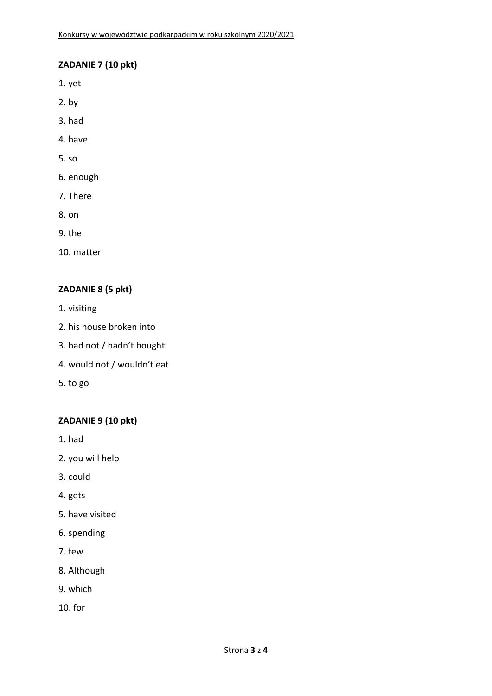### **ZADANIE 7 (10 pkt)**

- 1. yet
- 2. by
- 3. had
- 4. have
- 5. so
- 6. enough
- 7. There
- 8. on
- 9. the
- 10. matter

### **ZADANIE 8 (5 pkt)**

- 1. visiting
- 2. his house broken into
- 3. had not / hadn't bought
- 4. would not / wouldn't eat
- 5. to go

### **ZADANIE 9 (10 pkt)**

- 1. had
- 2. you will help
- 3. could
- 4. gets
- 5. have visited
- 6. spending
- 7. few
- 8. Although
- 9. which
- 10. for